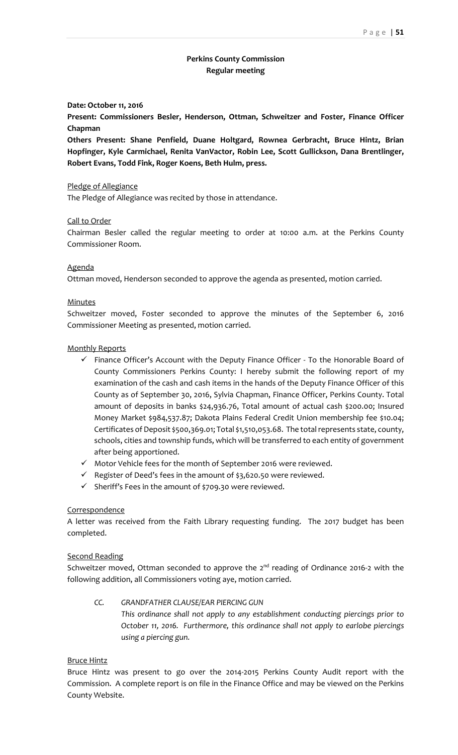# **Perkins County Commission Regular meeting**

#### **Date: October 11, 2016**

**Present: Commissioners Besler, Henderson, Ottman, Schweitzer and Foster, Finance Officer Chapman**

**Others Present: Shane Penfield, Duane Holtgard, Rownea Gerbracht, Bruce Hintz, Brian Hopfinger, Kyle Carmichael, Renita VanVactor, Robin Lee, Scott Gullickson, Dana Brentlinger, Robert Evans, Todd Fink, Roger Koens, Beth Hulm, press.**

### Pledge of Allegiance

The Pledge of Allegiance was recited by those in attendance.

### Call to Order

Chairman Besler called the regular meeting to order at 10:00 a.m. at the Perkins County Commissioner Room.

### **Agenda**

Ottman moved, Henderson seconded to approve the agenda as presented, motion carried.

### **Minutes**

Schweitzer moved, Foster seconded to approve the minutes of the September 6, 2016 Commissioner Meeting as presented, motion carried.

### Monthly Reports

- $\checkmark$  Finance Officer's Account with the Deputy Finance Officer To the Honorable Board of County Commissioners Perkins County: I hereby submit the following report of my examination of the cash and cash items in the hands of the Deputy Finance Officer of this County as of September 30, 2016, Sylvia Chapman, Finance Officer, Perkins County. Total amount of deposits in banks \$24,936.76, Total amount of actual cash \$200.00; Insured Money Market \$984,537.87; Dakota Plains Federal Credit Union membership fee \$10.04; Certificates of Deposit \$500,369.01; Total \$1,510,053.68. The total represents state, county, schools, cities and township funds, which will be transferred to each entity of government after being apportioned.
- $\checkmark$  Motor Vehicle fees for the month of September 2016 were reviewed.
- $\checkmark$  Register of Deed's fees in the amount of \$3,620.50 were reviewed.
- $\checkmark$  Sheriff's Fees in the amount of \$709.30 were reviewed.

### **Correspondence**

A letter was received from the Faith Library requesting funding. The 2017 budget has been completed.

#### Second Reading

Schweitzer moved, Ottman seconded to approve the  $2^{nd}$  reading of Ordinance 2016-2 with the following addition, all Commissioners voting aye, motion carried.

*CC. GRANDFATHER CLAUSE/EAR PIERCING GUN This ordinance shall not apply to any establishment conducting piercings prior to October 11, 2016. Furthermore, this ordinance shall not apply to earlobe piercings using a piercing gun.* 

## Bruce Hintz

Bruce Hintz was present to go over the 2014‐2015 Perkins County Audit report with the Commission. A complete report is on file in the Finance Office and may be viewed on the Perkins County Website.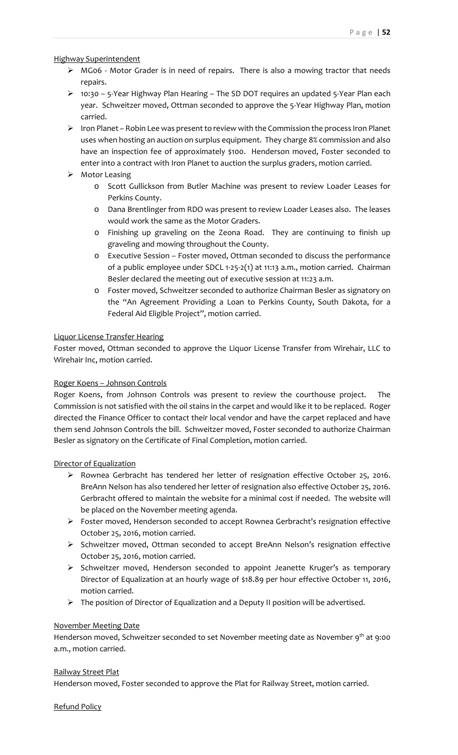Highway Superintendent

- MG06 ‐ Motor Grader is in need of repairs. There is also a mowing tractor that needs repairs.
- 10:30 5‐Year Highway Plan Hearing The SD DOT requires an updated 5‐Year Plan each year. Schweitzer moved, Ottman seconded to approve the 5‐Year Highway Plan, motion carried.
- $\triangleright$  Iron Planet Robin Lee was present to review with the Commission the process Iron Planet uses when hosting an auction on surplus equipment. They charge 8% commission and also have an inspection fee of approximately \$100. Henderson moved, Foster seconded to enter into a contract with Iron Planet to auction the surplus graders, motion carried.
- $\triangleright$  Motor Leasing
	- o Scott Gullickson from Butler Machine was present to review Loader Leases for Perkins County.
	- o Dana Brentlinger from RDO was present to review Loader Leases also. The leases would work the same as the Motor Graders.
	- o Finishing up graveling on the Zeona Road. They are continuing to finish up graveling and mowing throughout the County.
	- o Executive Session Foster moved, Ottman seconded to discuss the performance of a public employee under SDCL 1‐25‐2(1) at 11:13 a.m., motion carried. Chairman Besler declared the meeting out of executive session at 11:23 a.m.
	- o Foster moved, Schweitzer seconded to authorize Chairman Besler as signatory on the "An Agreement Providing a Loan to Perkins County, South Dakota, for a Federal Aid Eligible Project", motion carried.

# Liquor License Transfer Hearing

Foster moved, Ottman seconded to approve the Liquor License Transfer from Wirehair, LLC to Wirehair Inc, motion carried.

# Roger Koens – Johnson Controls

Roger Koens, from Johnson Controls was present to review the courthouse project. The Commission is not satisfied with the oil stains in the carpet and would like it to be replaced. Roger directed the Finance Officer to contact their local vendor and have the carpet replaced and have them send Johnson Controls the bill. Schweitzer moved, Foster seconded to authorize Chairman Besler as signatory on the Certificate of Final Completion, motion carried.

## Director of Equalization

- $\triangleright$  Rownea Gerbracht has tendered her letter of resignation effective October 25, 2016. BreAnn Nelson has also tendered her letter of resignation also effective October 25, 2016. Gerbracht offered to maintain the website for a minimal cost if needed. The website will be placed on the November meeting agenda.
- Foster moved, Henderson seconded to accept Rownea Gerbracht's resignation effective October 25, 2016, motion carried.
- $\triangleright$  Schweitzer moved, Ottman seconded to accept BreAnn Nelson's resignation effective October 25, 2016, motion carried.
- $\triangleright$  Schweitzer moved, Henderson seconded to appoint Jeanette Kruger's as temporary Director of Equalization at an hourly wage of \$18.89 per hour effective October 11, 2016, motion carried.
- $\triangleright$  The position of Director of Equalization and a Deputy II position will be advertised.

## November Meeting Date

Henderson moved, Schweitzer seconded to set November meeting date as November 9<sup>th</sup> at 9:00 a.m., motion carried.

## Railway Street Plat

Henderson moved, Foster seconded to approve the Plat for Railway Street, motion carried.

Refund Policy